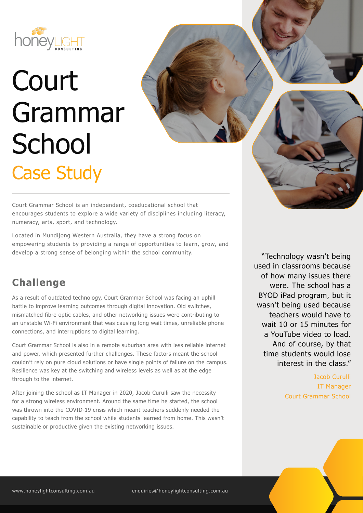

# Court Grammar **School** Case Study

Court Grammar School is an independent, coeducational school that encourages students to explore a wide variety of disciplines including literacy, numeracy, arts, sport, and technology.

Located in Mundijong Western Australia, they have a strong focus on empowering students by providing a range of opportunities to learn, grow, and develop a strong sense of belonging within the school community. The Chnology wasn't being

## **Challenge**

As a result of outdated technology, Court Grammar School was facing an uphill battle to improve learning outcomes through digital innovation. Old switches, mismatched fibre optic cables, and other networking issues were contributing to an unstable Wi-Fi environment that was causing long wait times, unreliable phone connections, and interruptions to digital learning.

Court Grammar School is also in a remote suburban area with less reliable internet and power, which presented further challenges. These factors meant the school couldn't rely on pure cloud solutions or have single points of failure on the campus. Resilience was key at the switching and wireless levels as well as at the edge through to the internet.

After joining the school as IT Manager in 2020, Jacob Curulli saw the necessity for a strong wireless environment. Around the same time he started, the school was thrown into the COVID-19 crisis which meant teachers suddenly needed the capability to teach from the school while students learned from home. This wasn't sustainable or productive given the existing networking issues.

used in classrooms because of how many issues there were. The school has a BYOD iPad program, but it wasn't being used because teachers would have to wait 10 or 15 minutes for a YouTube video to load. And of course, by that time students would lose interest in the class."

> Jacob Curulli IT Manager Court Grammar School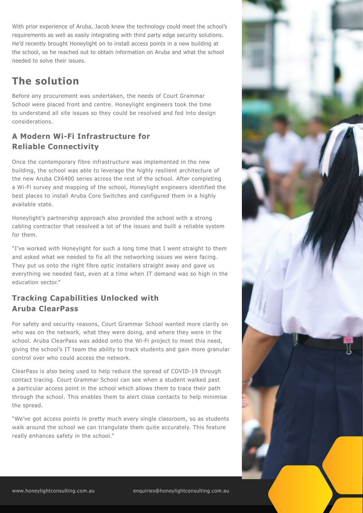With prior experience of Aruba, Jacob knew the technology could meet the school's requirements as well as easily integrating with third party edge security solutions. He'd recently brought Honeylight on to install access points in a new building at the school, so he reached out to obtain information on Aruba and what the school needed to solve their issues.

## **The solution**

Before any procurement was undertaken, the needs of Court Grammar School were placed front and centre. Honeylight engineers took the time to understand all site issues so they could be resolved and fed into design considerations.

## **A Modern Wi-Fi Infrastructure for Reliable Connectivity**

Once the contemporary fibre infrastructure was implemented in the new building, the school was able to leverage the highly resilient architecture of the new Aruba CX6400 series across the rest of the school. After completing a Wi-Fi survey and mapping of the school, Honeylight engineers identified the best places to install Aruba Core Switches and configured them in a highly available state.

Honeylight's partnership approach also provided the school with a strong cabling contractor that resolved a lot of the issues and built a reliable system for them.

"I've worked with Honeylight for such a long time that I went straight to them and asked what we needed to fix all the networking issues we were facing. They put us onto the right fibre optic installers straight away and gave us everything we needed fast, even at a time when IT demand was so high in the education sector."

### **Tracking Capabilities Unlocked with Aruba ClearPass**

For safety and security reasons, Court Grammar School wanted more clarity on who was on the network, what they were doing, and where they were in the school. Aruba ClearPass was added onto the Wi-Fi project to meet this need, giving the school's IT team the ability to track students and gain more granular control over who could access the network.

ClearPass is also being used to help reduce the spread of COVID-19 through contact tracing. Court Grammar School can see when a student walked past a particular access point in the school which allows them to trace their path through the school. This enables them to alert close contacts to help minimise the spread.

"We've got access points in pretty much every single classroom, so as students walk around the school we can triangulate them quite accurately. This feature really enhances safety in the school."